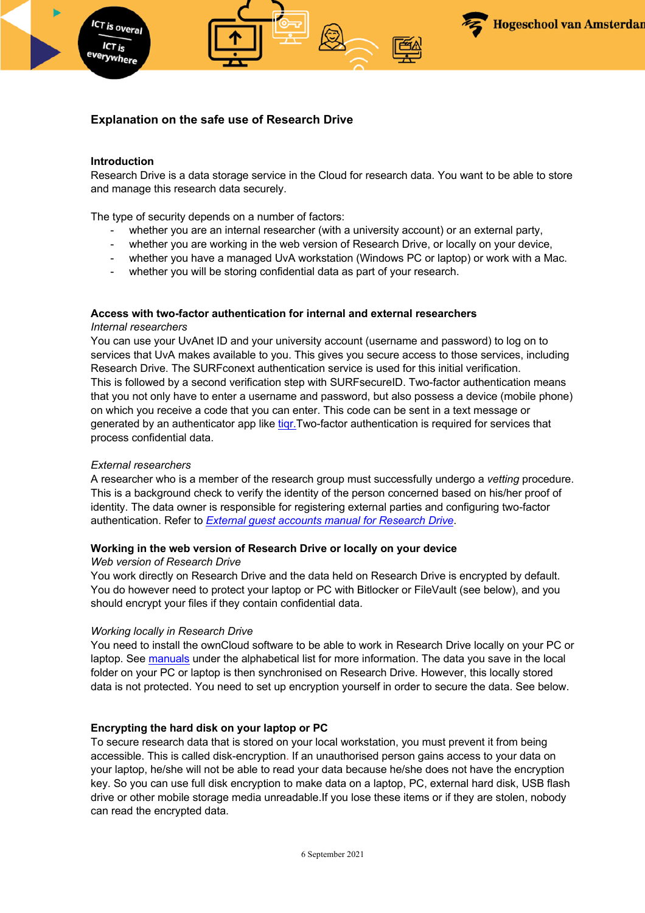

# **Explanation on the safe use of Research Drive**

### **Introduction**

ICT is overal ICT is

Research Drive is a data storage service in the Cloud for research data. You want to be able to store and manage this research data securely.

The type of security depends on a number of factors:

- whether you are an internal researcher (with a university account) or an external party,
- whether you are working in the web version of Research Drive, or locally on your device,
- whether you have a managed UvA workstation (Windows PC or laptop) or work with a Mac.
- whether you will be storing confidential data as part of your research.

### **Access with two-factor authentication for internal and external researchers**

#### *Internal researchers*

You can use your UvAnet ID and your university account (username and password) to log on to services that UvA makes available to you. This gives you secure access to those services, including Research Drive. The SURFconext authentication service is used for this initial verification. This is followed by a second verification step with SURFsecureID. Two-factor authentication means that you not only have to enter a username and password, but also possess a device (mobile phone) on which you receive a code that you can enter. This code can be sent in a text message or generated by an authenticator app like tigr. Two-factor authentication is required for services that process confidential data.

#### *External researchers*

A researcher who is a member of the research group must successfully undergo a *vetting* procedure. This is a background check to verify the identity of the person concerned based on his/her proof of identity. The data owner is responsible for registering external parties and configuring two-factor authentication. Refer to *External guest accounts manual for Research Drive*.

#### **Working in the web version of Research Drive or locally on your device**

# *Web version of Research Drive*

You work directly on Research Drive and the data held on Research Drive is encrypted by default. You do however need to protect your laptop or PC with Bitlocker or FileVault (see below), and you should encrypt your files if they contain confidential data.

#### *Working locally in Research Drive*

You need to install the ownCloud software to be able to work in Research Drive locally on your PC or laptop. See manuals under the alphabetical list for more information. The data you save in the local folder on your PC or laptop is then synchronised on Research Drive. However, this locally stored data is not protected. You need to set up encryption yourself in order to secure the data. See below.

### **Encrypting the hard disk on your laptop or PC**

To secure research data that is stored on your local workstation, you must prevent it from being accessible. This is called disk-encryption. If an unauthorised person gains access to your data on your laptop, he/she will not be able to read your data because he/she does not have the encryption key. So you can use full disk encryption to make data on a laptop, PC, external hard disk, USB flash drive or other mobile storage media unreadable.If you lose these items or if they are stolen, nobody can read the encrypted data.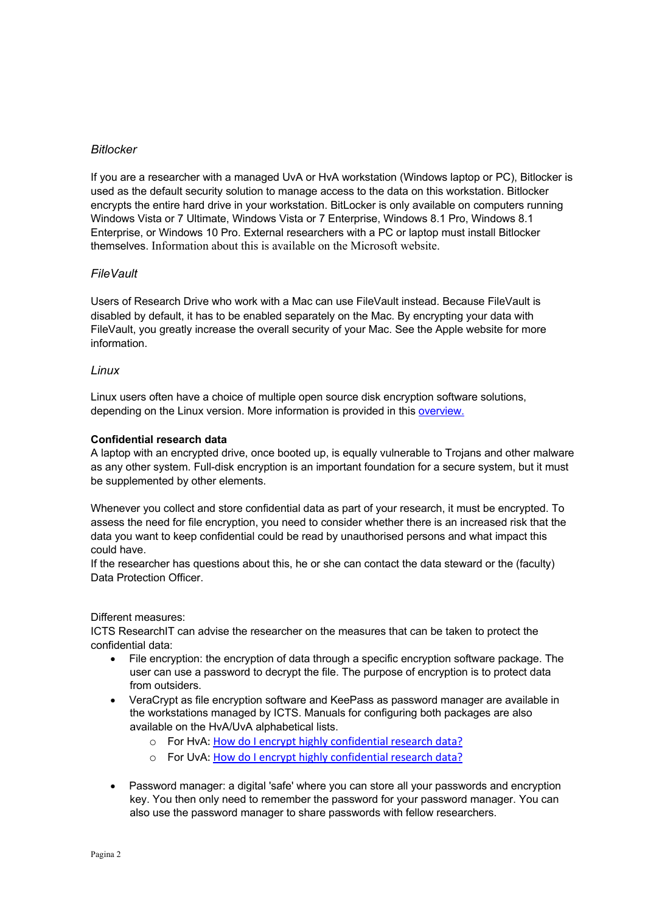# *Bitlocker*

If you are a researcher with a managed UvA or HvA workstation (Windows laptop or PC), Bitlocker is used as the default security solution to manage access to the data on this workstation. Bitlocker encrypts the entire hard drive in your workstation. BitLocker is only available on computers running Windows Vista or 7 Ultimate, Windows Vista or 7 Enterprise, Windows 8.1 Pro, Windows 8.1 Enterprise, or Windows 10 Pro. External researchers with a PC or laptop must install Bitlocker themselves. Information about this is available on the Microsoft website.

# *FileVault*

Users of Research Drive who work with a Mac can use FileVault instead. Because FileVault is disabled by default, it has to be enabled separately on the Mac. By encrypting your data with FileVault, you greatly increase the overall security of your Mac. See the Apple website for more information.

## *Linux*

Linux users often have a choice of multiple open source disk encryption software solutions, depending on the Linux version. More information is provided in this overview.

## **Confidential research data**

A laptop with an encrypted drive, once booted up, is equally vulnerable to Trojans and other malware as any other system. Full-disk encryption is an important foundation for a secure system, but it must be supplemented by other elements.

Whenever you collect and store confidential data as part of your research, it must be encrypted. To assess the need for file encryption, you need to consider whether there is an increased risk that the data you want to keep confidential could be read by unauthorised persons and what impact this could have.

If the researcher has questions about this, he or she can contact the data steward or the (faculty) Data Protection Officer.

### Different measures:

ICTS ResearchIT can advise the researcher on the measures that can be taken to protect the confidential data:

- File encryption: the encryption of data through a specific encryption software package. The user can use a password to decrypt the file. The purpose of encryption is to protect data from outsiders.
- VeraCrypt as file encryption software and KeePass as password manager are available in the workstations managed by ICTS. Manuals for configuring both packages are also available on the HvA/UvA alphabetical lists.
	- o For HvA: How do I encrypt highly confidential research data?
	- o For UvA: How do I encrypt highly confidential research data?
- Password manager: a digital 'safe' where you can store all your passwords and encryption key. You then only need to remember the password for your password manager. You can also use the password manager to share passwords with fellow researchers.